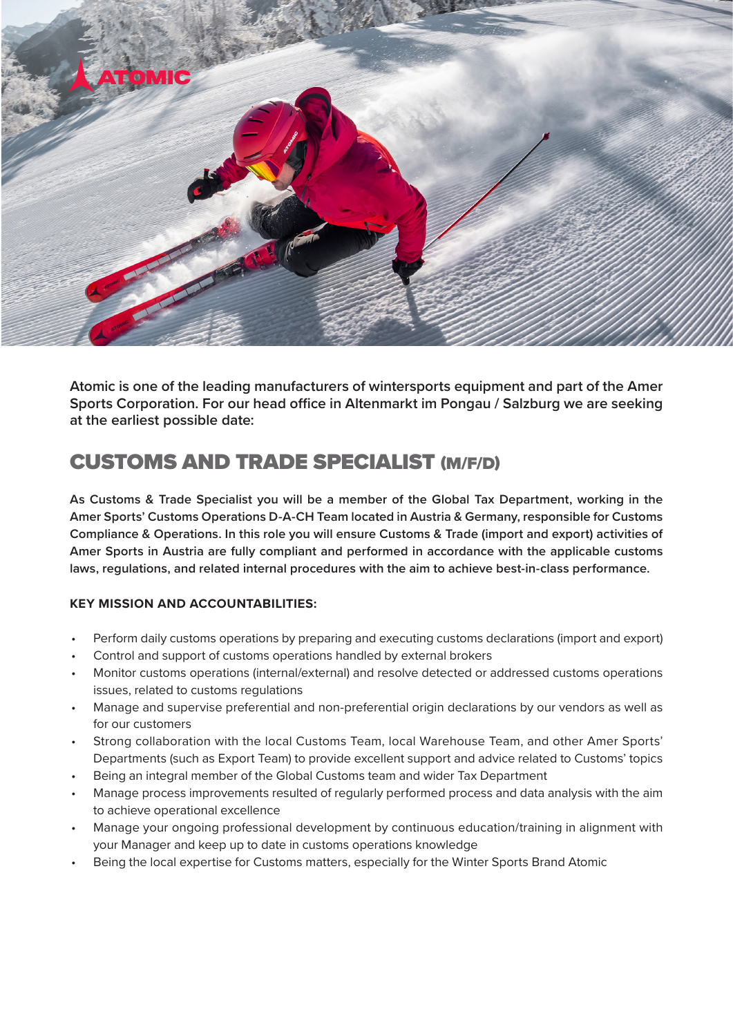

**Atomic is one of the leading manufacturers of wintersports equipment and part of the Amer Sports Corporation. For our head office in Altenmarkt im Pongau / Salzburg we are seeking at the earliest possible date:**

# CUSTOMS AND TRADE SPECIALIST (M/F/D)

**As Customs & Trade Specialist you will be a member of the Global Tax Department, working in the Amer Sports' Customs Operations D-A-CH Team located in Austria & Germany, responsible for Customs Compliance & Operations. In this role you will ensure Customs & Trade (import and export) activities of Amer Sports in Austria are fully compliant and performed in accordance with the applicable customs laws, regulations, and related internal procedures with the aim to achieve best-in-class performance.**

# **KEY MISSION AND ACCOUNTABILITIES:**

- Perform daily customs operations by preparing and executing customs declarations (import and export)
- Control and support of customs operations handled by external brokers
- Monitor customs operations (internal/external) and resolve detected or addressed customs operations issues, related to customs regulations
- Manage and supervise preferential and non-preferential origin declarations by our vendors as well as for our customers
- Strong collaboration with the local Customs Team, local Warehouse Team, and other Amer Sports' Departments (such as Export Team) to provide excellent support and advice related to Customs' topics
- Being an integral member of the Global Customs team and wider Tax Department
- Manage process improvements resulted of regularly performed process and data analysis with the aim to achieve operational excellence
- Manage your ongoing professional development by continuous education/training in alignment with your Manager and keep up to date in customs operations knowledge
- Being the local expertise for Customs matters, especially for the Winter Sports Brand Atomic